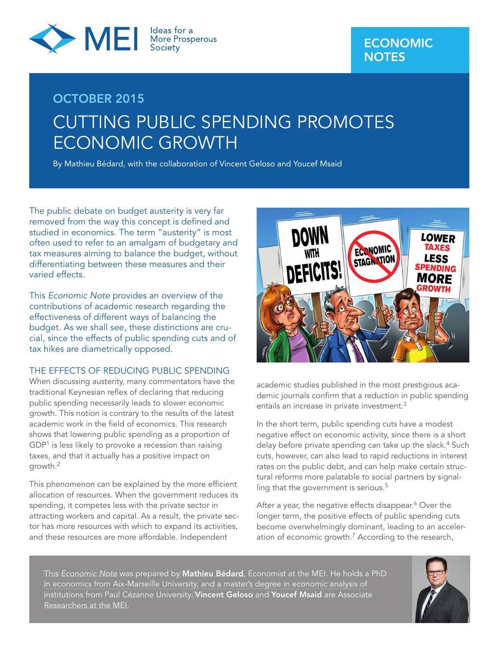

# **OCTOBER 2015** CUTTING PUBLIC SPENDING PROMOTES ECONOMIC GROWTH

By Mathieu Bédard, with the collaboration of Vincent Geloso and Youcef Msaid

The public debate on budget austerity is very far removed from the way this concept is defined and studied in economics. The term "austerity" is most often used to refer to an amalgam of budgetary and tax measures aiming to balance the budget, without differentiating between these measures and their varied effects.

This Economic Note provides an overview of the contributions of academic research regarding the effectiveness of different ways of balancing the budget. As we shall see, these distinctions are crucial, since the effects of public spending cuts and of tax hikes are diametrically opposed.

### THE EFFECTS OF REDUCING PUBLIC SPENDING

When discussing austerity, many commentators have the traditional Keynesian reflex of declaring that reducing public spending necessarily leads to slower economic growth. This notion is contrary to the results of the latest academic work in the field of economics. This research shows that lowering public spending as a proportion of GDP<sup>1</sup> is less likely to provoke a recession than raising taxes, and that it actually has a positive impact on growth.2

This phenomenon can be explained by the more efficient allocation of resources. When the government reduces its spending, it competes less with the private sector in attracting workers and capital. As a result, the private sector has more resources with which to expand its activities, and these resources are more affordable. Independent



academic studies published in the most prestigious academic journals confirm that a reduction in public spending entails an increase in private investment.<sup>3</sup>

In the short term, public spending cuts have a modest negative effect on economic activity, since there is a short delay before private spending can take up the slack.<sup>4</sup> Such cuts, however, can also lead to rapid reductions in interest rates on the public debt, and can help make certain structural reforms more palatable to social partners by signalling that the government is serious.<sup>5</sup>

After a year, the negative effects disappear.<sup>6</sup> Over the longer term, the positive effects of public spending cuts become overwhelmingly dominant, leading to an acceleration of economic growth.<sup>7</sup> According to the research,

This Economic Note was prepared by **Mathieu Bédard**, Economist at the MEI. He holds a PhD in economics from Aix-Marseille University, and a master's degree in economic analysis of institutions from Paul Cézanne University. **Vincent Geloso** and **Youcef Msaid** are Associate Researchers at the MEI.

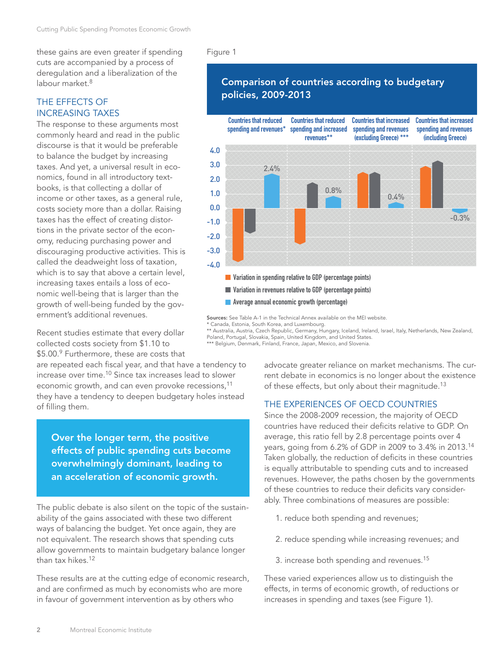these gains are even greater if spending cuts are accompanied by a process of deregulation and a liberalization of the labour market  $8$ 

# THE EFFECTS OF INCREASING TAXES

The response to these arguments most commonly heard and read in the public discourse is that it would be preferable to balance the budget by increasing taxes. And yet, a universal result in economics, found in all introductory textbooks, is that collecting a dollar of income or other taxes, as a general rule, costs society more than a dollar. Raising taxes has the effect of creating distortions in the private sector of the economy, reducing purchasing power and discouraging productive activities. This is called the deadweight loss of taxation, which is to say that above a certain level, increasing taxes entails a loss of economic well-being that is larger than the growth of well-being funded by the government's additional revenues.

Recent studies estimate that every dollar collected costs society from \$1.10 to \$5.00.9 Furthermore, these are costs that

are repeated each fiscal year, and that have a tendency to increase over time.<sup>10</sup> Since tax increases lead to slower economic growth, and can even provoke recessions,<sup>11</sup> they have a tendency to deepen budgetary holes instead of filling them.

**Over the longer term, the positive effects of public spending cuts become overwhelmingly dominant, leading to an acceleration of economic growth.**

The public debate is also silent on the topic of the sustainability of the gains associated with these two different ways of balancing the budget. Yet once again, they are not equivalent. The research shows that spending cuts allow governments to maintain budgetary balance longer than tax hikes.<sup>12</sup>

These results are at the cutting edge of economic research, and are confirmed as much by economists who are more in favour of government intervention as by others who

#### Figure 1

# **Comparison of countries according to budgetary policies, 2009-2013**



**Sources:** See Table A-1 in the Technical Annex available on the MEI website.

\* Canada, Estonia, South Korea, and Luxembourg. \*\* Australia, Austria, Czech Republic, Germany, Hungary, Iceland, Ireland, Israel, Italy, Netherlands, New Zealand, Poland, Portugal, Slovakia, Spain, United Kingdom, and United States.

\*\*\* Belgium, Denmark, Finland, France, Japan, Mexico, and Slovenia.

advocate greater reliance on market mechanisms. The current debate in economics is no longer about the existence of these effects, but only about their magnitude.<sup>13</sup>

## THE EXPERIENCES OF OECD COUNTRIES

Since the 2008-2009 recession, the majority of OECD countries have reduced their deficits relative to GDP. On average, this ratio fell by 2.8 percentage points over 4 years, going from 6.2% of GDP in 2009 to 3.4% in 2013.<sup>14</sup> Taken globally, the reduction of deficits in these countries is equally attributable to spending cuts and to increased revenues. However, the paths chosen by the governments of these countries to reduce their deficits vary considerably. Three combinations of measures are possible:

- 1. reduce both spending and revenues;
- 2. reduce spending while increasing revenues; and
- 3. increase both spending and revenues.<sup>15</sup>

These varied experiences allow us to distinguish the effects, in terms of economic growth, of reductions or increases in spending and taxes (see Figure 1).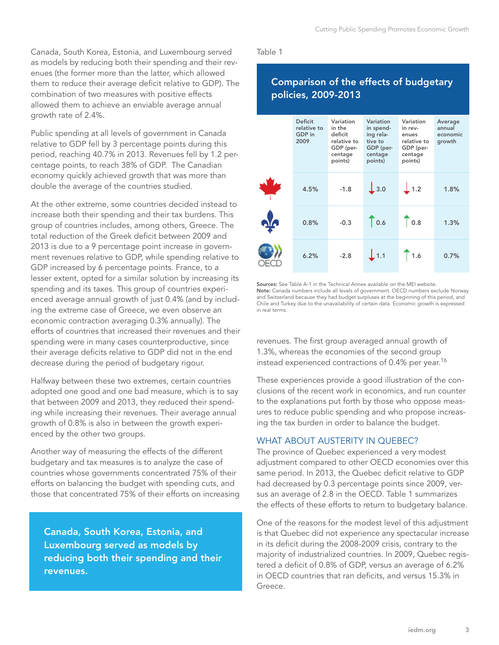Canada, South Korea, Estonia, and Luxembourg served as models by reducing both their spending and their revenues (the former more than the latter, which allowed them to reduce their average deficit relative to GDP). The combination of two measures with positive effects allowed them to achieve an enviable average annual growth rate of 2.4%.

Public spending at all levels of government in Canada relative to GDP fell by 3 percentage points during this period, reaching 40.7% in 2013. Revenues fell by 1.2 percentage points, to reach 38% of GDP. The Canadian economy quickly achieved growth that was more than double the average of the countries studied.

At the other extreme, some countries decided instead to increase both their spending and their tax burdens. This group of countries includes, among others, Greece. The total reduction of the Greek deficit between 2009 and 2013 is due to a 9 percentage point increase in government revenues relative to GDP, while spending relative to GDP increased by 6 percentage points. France, to a lesser extent, opted for a similar solution by increasing its spending and its taxes. This group of countries experienced average annual growth of just 0.4% (and by including the extreme case of Greece, we even observe an economic contraction averaging 0.3% annually). The efforts of countries that increased their revenues and their spending were in many cases counterproductive, since their average deficits relative to GDP did not in the end decrease during the period of budgetary rigour.

Halfway between these two extremes, certain countries adopted one good and one bad measure, which is to say that between 2009 and 2013, they reduced their spending while increasing their revenues. Their average annual growth of 0.8% is also in between the growth experienced by the other two groups.

Another way of measuring the effects of the different budgetary and tax measures is to analyze the case of countries whose governments concentrated 75% of their efforts on balancing the budget with spending cuts, and those that concentrated 75% of their efforts on increasing

**Canada, South Korea, Estonia, and Luxembourg served as models by reducing both their spending and their revenues.**

Table 1

# **Comparison of the effects of budgetary policies, 2009-2013**

|     | <b>Deficit</b><br>relative to<br>GDP in<br>2009 | Variation<br>in the<br>deficit<br>relative to<br>GDP (per-<br>centage<br>points) | Variation<br>in spend-<br>ing rela-<br>tive to<br>GDP (per-<br>centage<br>points) | Variation<br>in rev-<br>enues<br>relative to<br>GDP (per-<br>centage<br>points) | Average<br>annual<br>economic<br>growth |
|-----|-------------------------------------------------|----------------------------------------------------------------------------------|-----------------------------------------------------------------------------------|---------------------------------------------------------------------------------|-----------------------------------------|
|     | 4.5%                                            | $-1.8$                                                                           | $\downarrow$ 3.0                                                                  | $\perp$ 1.2                                                                     | 1.8%                                    |
| ofo | 0.8%                                            | $-0.3$                                                                           | $\bigcap_{0.6}$                                                                   | $\bigcap_{0.8}$                                                                 | 1.3%                                    |
|     | 6.2%                                            | $-2.8$                                                                           | $\perp$ 1.1                                                                       | 1.6                                                                             | 0.7%                                    |

**Sources:** See Table A-1 in the Technical Annex available on the MEI website. **Note:** Canada numbers include all levels of government. OECD numbers exclude Norway and Switzerland because they had budget surpluses at the beginning of this period, and Chile and Turkey due to the unavailability of certain data. Economic growth is expressed in real terms.

revenues. The first group averaged annual growth of 1.3%, whereas the economies of the second group instead experienced contractions of 0.4% per year.<sup>16</sup>

These experiences provide a good illustration of the conclusions of the recent work in economics, and run counter to the explanations put forth by those who oppose measures to reduce public spending and who propose increasing the tax burden in order to balance the budget.

# WHAT ABOUT AUSTERITY IN QUEBEC?

The province of Quebec experienced a very modest adjustment compared to other OECD economies over this same period. In 2013, the Quebec deficit relative to GDP had decreased by 0.3 percentage points since 2009, versus an average of 2.8 in the OECD. Table 1 summarizes the effects of these efforts to return to budgetary balance.

One of the reasons for the modest level of this adjustment is that Quebec did not experience any spectacular increase in its deficit during the 2008-2009 crisis, contrary to the majority of industrialized countries. In 2009, Quebec registered a deficit of 0.8% of GDP, versus an average of 6.2% in OECD countries that ran deficits, and versus 15.3% in Greece.